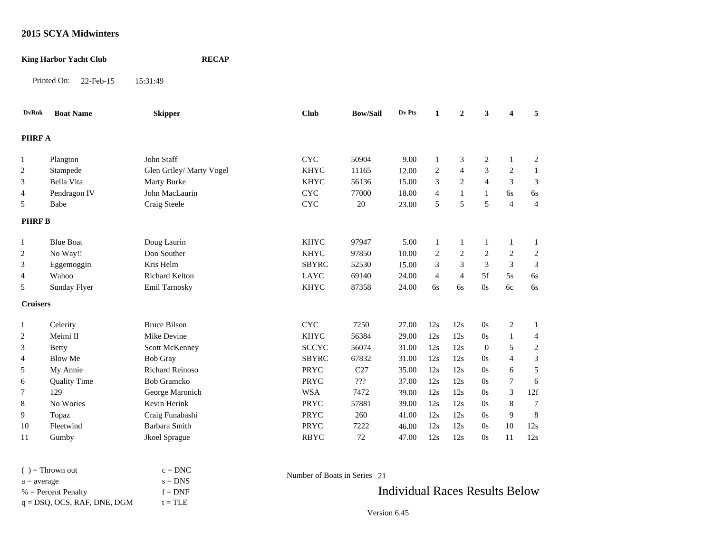### **King Harbor Yacht Club RECAP**

Printed On: 22-Feb-15 15:31:49

| <b>DvRnk</b>    | <b>Boat Name</b>    | <b>Skipper</b>           | <b>Club</b>  | <b>Bow/Sail</b> | Dv Pts | $\mathbf{1}$   | $\overline{2}$ | $\overline{\mathbf{3}}$ | $\overline{\mathbf{4}}$ | 5                |
|-----------------|---------------------|--------------------------|--------------|-----------------|--------|----------------|----------------|-------------------------|-------------------------|------------------|
| <b>PHRF A</b>   |                     |                          |              |                 |        |                |                |                         |                         |                  |
| 1               | Plangton            | <b>John Staff</b>        | <b>CYC</b>   | 50904           | 9.00   | $\mathbf{1}$   | 3              | 2                       |                         | $\mathfrak{2}$   |
| $\overline{2}$  | Stampede            | Glen Griley/ Marty Vogel | <b>KHYC</b>  | 11165           | 12.00  | $\mathbf{2}$   | $\overline{4}$ | 3                       | 2                       | 1                |
| 3               | Bella Vita          | Marty Burke              | <b>KHYC</b>  | 56136           | 15.00  | 3              | $\mathbf{2}$   | $\overline{4}$          | 3                       | 3                |
| 4               | Pendragon IV        | John MacLaurin           | <b>CYC</b>   | 77000           | 18.00  | 4              | $\mathbf{1}$   | 1                       | 6s                      | 6s               |
| 5               | Babe                | Craig Steele             | <b>CYC</b>   | 20              | 23.00  | 5              | 5              | 5                       | $\overline{4}$          | $\overline{4}$   |
| <b>PHRFB</b>    |                     |                          |              |                 |        |                |                |                         |                         |                  |
| $\mathbf{1}$    | <b>Blue Boat</b>    | Doug Laurin              | <b>KHYC</b>  | 97947           | 5.00   | $\mathbf{1}$   | $\mathbf{1}$   | -1                      | 1                       |                  |
| 2               | No Way!!            | Don Souther              | <b>KHYC</b>  | 97850           | 10.00  | 2              | $\mathfrak{2}$ | 2                       | 2                       | $\boldsymbol{2}$ |
| 3               | Eggemoggin          | Kris Helm                | <b>SBYRC</b> | 52530           | 15.00  | 3              | $\mathfrak{Z}$ | 3                       | 3                       | 3                |
| 4               | Wahoo               | <b>Richard Kelton</b>    | LAYC         | 69140           | 24.00  | $\overline{4}$ | $\overline{4}$ | 5f                      | 5s                      | 6s               |
| 5               | Sunday Flyer        | Emil Tarnosky            | <b>KHYC</b>  | 87358           | 24.00  | 6s             | 6s             | 0s                      | 6c                      | 6s               |
| <b>Cruisers</b> |                     |                          |              |                 |        |                |                |                         |                         |                  |
| $\mathbf{1}$    | Celerity            | <b>Bruce Bilson</b>      | <b>CYC</b>   | 7250            | 27.00  | 12s            | 12s            | 0s                      | $\sqrt{2}$              | 1                |
| 2               | Meimi II            | Mike Devine              | <b>KHYC</b>  | 56384           | 29.00  | 12s            | 12s            | 0s                      |                         | 4                |
| 3               | <b>Betty</b>        | Scott McKenney           | <b>SCCYC</b> | 56074           | 31.00  | 12s            | 12s            | $\overline{0}$          | 5                       | $\mathfrak{2}$   |
| 4               | <b>Blow Me</b>      | <b>Bob Gray</b>          | <b>SBYRC</b> | 67832           | 31.00  | 12s            | 12s            | 0s                      | $\overline{4}$          | 3                |
| 5               | My Annie            | <b>Richard Reinoso</b>   | PRYC         | C27             | 35.00  | 12s            | 12s            | 0s                      | 6                       | 5                |
| 6               | <b>Quality Time</b> | <b>Bob Gramcko</b>       | PRYC         | $222$           | 37.00  | 12s            | 12s            | 0s                      | 7                       | 6                |
| $\tau$          | 129                 | George Maronich          | <b>WSA</b>   | 7472            | 39.00  | 12s            | 12s            | 0s                      | 3                       | 12f              |
| 8               | No Wories           | Kevin Herink             | PRYC         | 57881           | 39.00  | 12s            | 12s            | 0s                      | $\,$ 8 $\,$             | 7                |
| 9               | Topaz               | Craig Funabashi          | PRYC         | 260             | 41.00  | 12s            | 12s            | 0s                      | 9                       | 8                |
| 10              | Fleetwind           | Barbara Smith            | PRYC         | 7222            | 46.00  | 12s            | 12s            | 0s                      | 10                      | 12s              |
| 11              | Gumby               | Jkoel Sprague            | <b>RBYC</b>  | 72              | 47.00  | 12s            | 12s            | 0s                      | 11                      | 12s              |

| $()$ = Thrown out              | $c = DNC$ |                           |
|--------------------------------|-----------|---------------------------|
| $a = average$                  | $s = DNS$ | Number of Boats in Series |
| $%$ = Percent Penalty          | $f = DNF$ |                           |
| $q = DSQ$ , OCS, RAF, DNE, DGM | $t = TLE$ |                           |

Number of Boats in Series 21

Individual Races Results Below

Version 6.45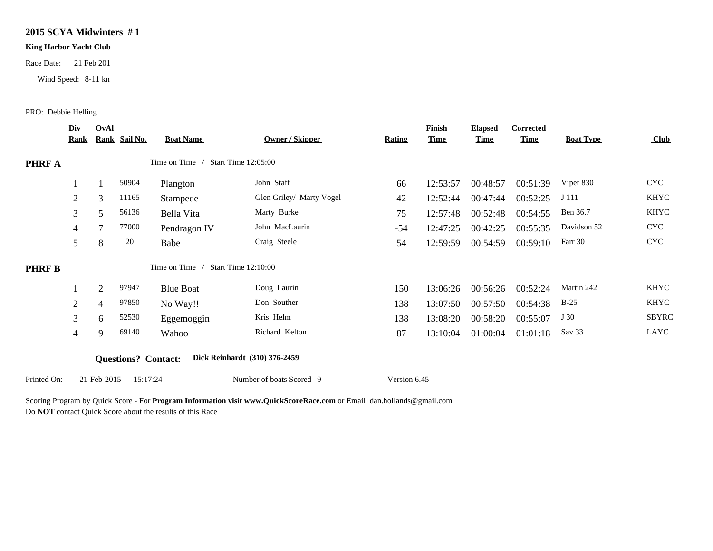#### **King Harbor Yacht Club**

Race Date: 21 Feb 201

Wind Speed: 8-11 kn

#### PRO: Debbie Helling

|               | Div            | OvAl           |                            |                  |                               |               | Finish      | <b>Elapsed</b> | <b>Corrected</b> |                  |                                |
|---------------|----------------|----------------|----------------------------|------------------|-------------------------------|---------------|-------------|----------------|------------------|------------------|--------------------------------|
|               | <u>Rank</u>    |                | Rank Sail No.              | <b>Boat Name</b> | Owner / Skipper               | <b>Rating</b> | <b>Time</b> | <b>Time</b>    | <b>Time</b>      | <b>Boat Type</b> | $\frac{\text{Club}}{\text{C}}$ |
| PHRF A        |                |                |                            | Time on Time /   | <b>Start Time 12:05:00</b>    |               |             |                |                  |                  |                                |
|               |                |                | 50904                      | Plangton         | John Staff                    | 66            | 12:53:57    | 00:48:57       | 00:51:39         | Viper 830        | <b>CYC</b>                     |
|               | 2              | 3              | 11165                      | Stampede         | Glen Griley/ Marty Vogel      | 42            | 12:52:44    | 00:47:44       | 00:52:25         | J 111            | <b>KHYC</b>                    |
|               | 3              | 5              | 56136                      | Bella Vita       | Marty Burke                   | 75            | 12:57:48    | 00:52:48       | 00:54:55         | Ben 36.7         | <b>KHYC</b>                    |
|               | 4              | $\overline{7}$ | 77000                      | Pendragon IV     | John MacLaurin                | $-54$         | 12:47:25    | 00:42:25       | 00:55:35         | Davidson 52      | <b>CYC</b>                     |
|               | 5              | 8              | 20                         | Babe             | Craig Steele                  | 54            | 12:59:59    | 00:54:59       | 00:59:10         | Farr 30          | <b>CYC</b>                     |
| <b>PHRF B</b> |                |                |                            | Time on Time /   | Start Time 12:10:00           |               |             |                |                  |                  |                                |
|               |                | $\overline{2}$ | 97947                      | <b>Blue Boat</b> | Doug Laurin                   | 150           | 13:06:26    | 00:56:26       | 00:52:24         | Martin 242       | <b>KHYC</b>                    |
|               | 2              | $\overline{4}$ | 97850                      | No Way!!         | Don Souther                   | 138           | 13:07:50    | 00:57:50       | 00:54:38         | $B-25$           | <b>KHYC</b>                    |
|               | 3              | 6              | 52530                      | Eggemoggin       | Kris Helm                     | 138           | 13:08:20    | 00:58:20       | 00:55:07         | J 30             | <b>SBYRC</b>                   |
|               | $\overline{4}$ | 9              | 69140                      | Wahoo            | Richard Kelton                | 87            | 13:10:04    | 01:00:04       | 01:01:18         | Sav 33           | LAYC                           |
|               |                |                |                            |                  |                               |               |             |                |                  |                  |                                |
|               |                |                | <b>Questions?</b> Contact: |                  | Dick Reinhardt (310) 376-2459 |               |             |                |                  |                  |                                |
| Printed On:   |                | 21-Feb-2015    | 15:17:24                   |                  | Number of boats Scored 9      | Version 6.45  |             |                |                  |                  |                                |

Scoring Program by Quick Score - For **Program Information visit www.QuickScoreRace.com** or Email dan.hollands@gmail.com

Do **NOT** contact Quick Score about the results of this Race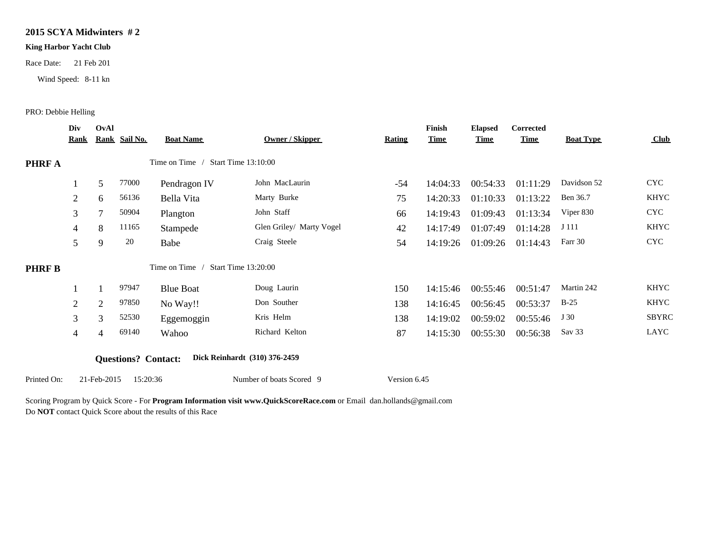#### **King Harbor Yacht Club**

Race Date: 21 Feb 201

Wind Speed: 8-11 kn

#### PRO: Debbie Helling

|              | Div            | OvAl           |                            |                                    |                               |               | Finish      | <b>Elapsed</b> | Corrected   |                  |             |
|--------------|----------------|----------------|----------------------------|------------------------------------|-------------------------------|---------------|-------------|----------------|-------------|------------------|-------------|
|              | <b>Rank</b>    |                | Rank Sail No.              | <b>Boat Name</b>                   | Owner / Skipper               | <b>Rating</b> | <b>Time</b> | <b>Time</b>    | <b>Time</b> | <b>Boat Type</b> | Club        |
| PHRF A       |                |                |                            | Time on Time / Start Time 13:10:00 |                               |               |             |                |             |                  |             |
|              |                | 5              | 77000                      | Pendragon IV                       | John MacLaurin                | $-54$         | 14:04:33    | 00:54:33       | 01:11:29    | Davidson 52      | <b>CYC</b>  |
|              | 2              | 6              | 56136                      | Bella Vita                         | Marty Burke                   | 75            | 14:20:33    | 01:10:33       | 01:13:22    | Ben 36.7         | <b>KHYC</b> |
|              | 3              | $\overline{7}$ | 50904                      | Plangton                           | John Staff                    | 66            | 14:19:43    | 01:09:43       | 01:13:34    | Viper 830        | <b>CYC</b>  |
|              | $\overline{4}$ | 8              | 11165                      | Stampede                           | Glen Griley/ Marty Vogel      | 42            | 14:17:49    | 01:07:49       | 01:14:28    | J 111            | <b>KHYC</b> |
|              | 5              | 9              | 20                         | Babe                               | Craig Steele                  | 54            | 14:19:26    | 01:09:26       | 01:14:43    | Farr 30          | <b>CYC</b>  |
| <b>PHRFB</b> |                |                |                            | Time on Time / Start Time 13:20:00 |                               |               |             |                |             |                  |             |
|              |                |                | 97947                      | <b>Blue Boat</b>                   | Doug Laurin                   | 150           | 14:15:46    | 00:55:46       | 00:51:47    | Martin 242       | <b>KHYC</b> |
|              | $\overline{2}$ | $\mathfrak{2}$ | 97850                      | No Way!!                           | Don Souther                   | 138           | 14:16:45    | 00:56:45       | 00:53:37    | $B-25$           | <b>KHYC</b> |
|              | 3              | 3              | 52530                      | Eggemoggin                         | Kris Helm                     | 138           | 14:19:02    | 00:59:02       | 00:55:46    | J 30             | SBYRC       |
|              | 4              | $\overline{4}$ | 69140                      | Wahoo                              | Richard Kelton                | 87            | 14:15:30    | 00:55:30       | 00:56:38    | Sav 33           | LAYC        |
|              |                |                | <b>Questions?</b> Contact: |                                    | Dick Reinhardt (310) 376-2459 |               |             |                |             |                  |             |
| Printed On:  |                | 21-Feb-2015    | 15:20:36                   |                                    | Number of boats Scored 9      | Version 6.45  |             |                |             |                  |             |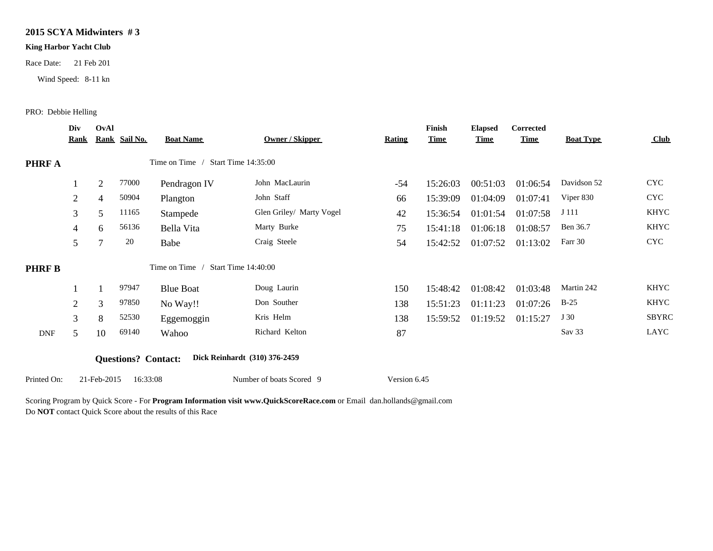#### **King Harbor Yacht Club**

Race Date: 21 Feb 201

Wind Speed: 8-11 kn

#### PRO: Debbie Helling

|               | Div<br><u>Rank</u> | OvAl           | Rank Sail No.              | <b>Boat Name</b>                   | Owner / Skipper               | <b>Rating</b> | Finish<br><b>Time</b> | <b>Elapsed</b><br><b>Time</b> | Corrected<br><b>Time</b> | <b>Boat Type</b> | $\frac{\text{Club}}{\text{C}}$ |
|---------------|--------------------|----------------|----------------------------|------------------------------------|-------------------------------|---------------|-----------------------|-------------------------------|--------------------------|------------------|--------------------------------|
| PHRF A        |                    |                |                            | Time on Time / Start Time 14:35:00 |                               |               |                       |                               |                          |                  |                                |
|               |                    | $\overline{2}$ | 77000                      | Pendragon IV                       | John MacLaurin                | $-54$         | 15:26:03              | 00:51:03                      | 01:06:54                 | Davidson 52      | <b>CYC</b>                     |
|               | 2                  | 4              | 50904                      | Plangton                           | John Staff                    | 66            | 15:39:09              | 01:04:09                      | 01:07:41                 | Viper 830        | <b>CYC</b>                     |
|               | 3 <sup>1</sup>     | 5              | 11165                      | Stampede                           | Glen Griley/ Marty Vogel      | 42            | 15:36:54              | 01:01:54                      | 01:07:58                 | J 111            | <b>KHYC</b>                    |
|               | 4                  | 6              | 56136                      | Bella Vita                         | Marty Burke                   | 75            | 15:41:18              | 01:06:18                      | 01:08:57                 | Ben 36.7         | KHYC                           |
|               | 5                  | 7              | 20                         | Babe                               | Craig Steele                  | 54            | 15:42:52              | 01:07:52                      | 01:13:02                 | Farr 30          | <b>CYC</b>                     |
| <b>PHRF B</b> |                    |                |                            | Time on Time /                     | Start Time 14:40:00           |               |                       |                               |                          |                  |                                |
|               |                    |                | 97947                      | <b>Blue Boat</b>                   | Doug Laurin                   | 150           | 15:48:42              | 01:08:42                      | 01:03:48                 | Martin 242       | <b>KHYC</b>                    |
|               | 2                  | 3              | 97850                      | No Way!!                           | Don Souther                   | 138           | 15:51:23              | 01:11:23                      | 01:07:26                 | $B-25$           | <b>KHYC</b>                    |
|               | 3                  | 8              | 52530                      | Eggemoggin                         | Kris Helm                     | 138           | 15:59:52              | 01:19:52                      | 01:15:27                 | J 30             | <b>SBYRC</b>                   |
| <b>DNF</b>    | 5                  | 10             | 69140                      | Wahoo                              | Richard Kelton                | 87            |                       |                               |                          | Sav 33           | LAYC                           |
|               |                    |                | <b>Questions?</b> Contact: |                                    | Dick Reinhardt (310) 376-2459 |               |                       |                               |                          |                  |                                |
| Printed On:   |                    | 21-Feb-2015    | 16:33:08                   |                                    | Number of boats Scored 9      | Version 6.45  |                       |                               |                          |                  |                                |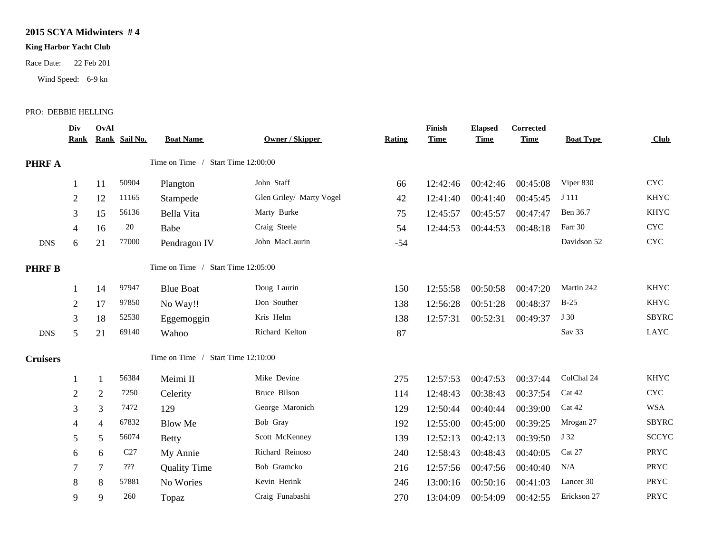### **King Harbor Yacht Club**

Race Date: 22 Feb 201

Wind Speed: 6-9 kn

### PRO: DEBBIE HELLING

|                 | Div<br><u>Kank</u> | OvAl           | Rank Sail No.                    | <b>Boat Name</b>                   | <b>Owner / Skipper</b>   | <b>Rating</b> | Finish<br><b>Time</b> | <b>Elapsed</b><br><b>Time</b> | Corrected<br><u>Time</u> | <b>Boat Type</b> | Club                      |
|-----------------|--------------------|----------------|----------------------------------|------------------------------------|--------------------------|---------------|-----------------------|-------------------------------|--------------------------|------------------|---------------------------|
| <b>PHRF A</b>   |                    |                |                                  | Time on Time / Start Time 12:00:00 |                          |               |                       |                               |                          |                  |                           |
|                 |                    | 11             | 50904                            | Plangton                           | John Staff               | 66            | 12:42:46              | 00:42:46                      | 00:45:08                 | Viper 830        | $\ensuremath{\text{CYC}}$ |
|                 | $\overline{c}$     | 12             | 11165                            | Stampede                           | Glen Griley/ Marty Vogel | 42            | 12:41:40              | 00:41:40                      | 00:45:45                 | J 111            | <b>KHYC</b>               |
|                 | 3                  | 15             | 56136                            | Bella Vita                         | Marty Burke              | 75            | 12:45:57              | 00:45:57                      | 00:47:47                 | Ben 36.7         | <b>KHYC</b>               |
|                 | 4                  | 16             | 20                               | Babe                               | Craig Steele             | 54            | 12:44:53              | 00:44:53                      | 00:48:18                 | Farr 30          | <b>CYC</b>                |
| <b>DNS</b>      | 6                  | 21             | 77000                            | Pendragon IV                       | John MacLaurin           | $-54$         |                       |                               |                          | Davidson 52      | $\ensuremath{\text{CYC}}$ |
| <b>PHRF B</b>   |                    |                |                                  | Time on Time / Start Time 12:05:00 |                          |               |                       |                               |                          |                  |                           |
|                 |                    | 14             | 97947                            | <b>Blue Boat</b>                   | Doug Laurin              | 150           | 12:55:58              | 00:50:58                      | 00:47:20                 | Martin 242       | <b>KHYC</b>               |
|                 | $\overline{2}$     | 17             | 97850                            | No Way!!                           | Don Souther              | 138           | 12:56:28              | 00:51:28                      | 00:48:37                 | $B-25$           | <b>KHYC</b>               |
|                 | 3                  | 18             | 52530                            | Eggemoggin                         | Kris Helm                | 138           | 12:57:31              | 00:52:31                      | 00:49:37                 | J 30             | <b>SBYRC</b>              |
| <b>DNS</b>      | 5                  | 21             | 69140                            | Wahoo                              | Richard Kelton           | 87            |                       |                               |                          | Sav 33           | LAYC                      |
| <b>Cruisers</b> |                    |                |                                  | Time on Time / Start Time 12:10:00 |                          |               |                       |                               |                          |                  |                           |
|                 |                    | $\mathbf{1}$   | 56384                            | Meimi II                           | Mike Devine              | 275           | 12:57:53              | 00:47:53                      | 00:37:44                 | ColChal 24       | <b>KHYC</b>               |
|                 | 2                  | $\overline{2}$ | 7250                             | Celerity                           | Bruce Bilson             | 114           | 12:48:43              | 00:38:43                      | 00:37:54                 | Cat 42           | <b>CYC</b>                |
|                 | 3                  | 3              | 7472                             | 129                                | George Maronich          | 129           | 12:50:44              | 00:40:44                      | 00:39:00                 | Cat 42           | <b>WSA</b>                |
|                 | 4                  | 4              | 67832                            | <b>Blow Me</b>                     | Bob Gray                 | 192           | 12:55:00              | 00:45:00                      | 00:39:25                 | Mrogan 27        | <b>SBYRC</b>              |
|                 | 5                  | 5              | 56074                            | <b>Betty</b>                       | Scott McKenney           | 139           | 12:52:13              | 00:42:13                      | 00:39:50                 | J 32             | <b>SCCYC</b>              |
|                 | 6                  | 6              | C27                              | My Annie                           | Richard Reinoso          | 240           | 12:58:43              | 00:48:43                      | 00:40:05                 | Cat 27           | PRYC                      |
|                 | 7                  | $\tau$         | $\mathbf{?}\mathbf{?}\mathbf{?}$ | <b>Quality Time</b>                | Bob Gramcko              | 216           | 12:57:56              | 00:47:56                      | 00:40:40                 | N/A              | PRYC                      |
|                 | 8                  | 8              | 57881                            | No Wories                          | Kevin Herink             | 246           | 13:00:16              | 00:50:16                      | 00:41:03                 | Lancer 30        | PRYC                      |
|                 | 9                  | 9              | 260                              | Topaz                              | Craig Funabashi          | 270           | 13:04:09              | 00:54:09                      | 00:42:55                 | Erickson 27      | PRYC                      |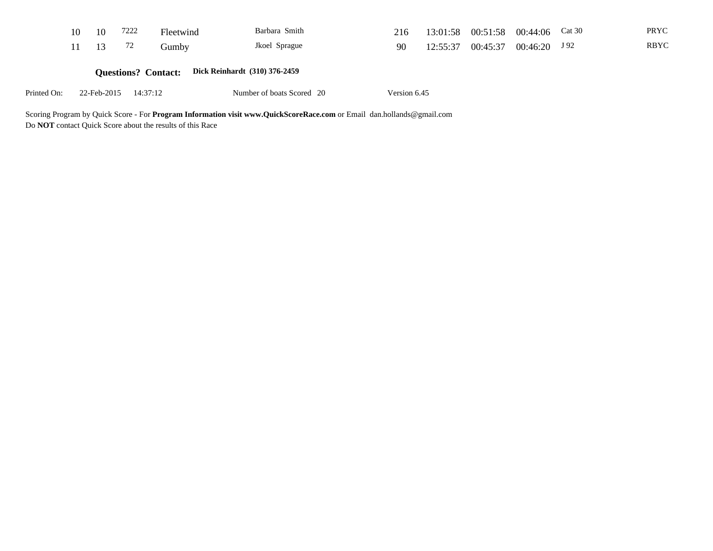|             | 10 | 10          | 7222                       | Fleetwind                     | Barbara Smith             | 216          | 13:01:58 | 00:51:58 | 00:44:06 | Cat 30 | PRYC        |
|-------------|----|-------------|----------------------------|-------------------------------|---------------------------|--------------|----------|----------|----------|--------|-------------|
|             | 11 | 13          | 72                         | Gumby                         | Jkoel Sprague             | 90           | 12:55:37 | 00:45:37 | 00:46:20 | J 92   | <b>RBYC</b> |
|             |    |             | <b>Questions? Contact:</b> | Dick Reinhardt (310) 376-2459 |                           |              |          |          |          |        |             |
| Printed On: |    | 22-Feb-2015 | 14:37:12                   |                               | Number of boats Scored 20 | Version 6.45 |          |          |          |        |             |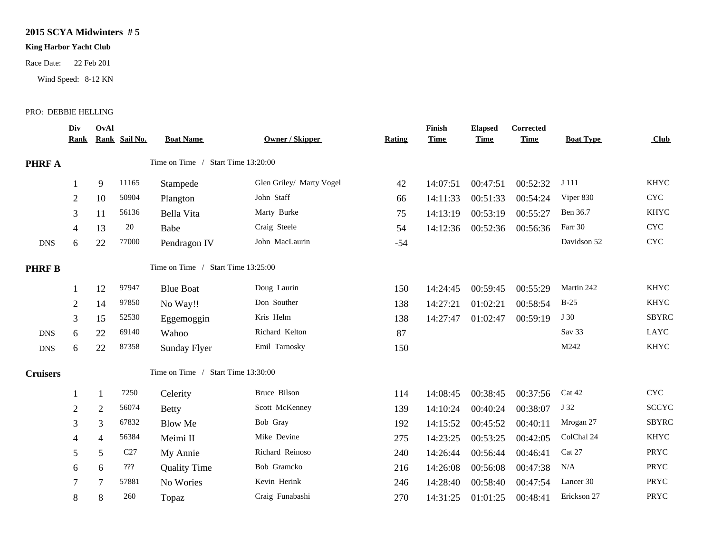## **King Harbor Yacht Club**

Race Date: 22 Feb 201

Wind Speed: 8-12 KN

#### PRO: DEBBIE HELLING

|                 | Div<br><u>Kank</u> | OvAl           | Rank Sail No. | <b>Boat Name</b>                   | <b>Owner / Skipper</b>   | <b>Rating</b> | Finish<br><b>Time</b> | <b>Elapsed</b><br><b>Time</b> | <b>Corrected</b><br><b>Time</b> | <b>Boat Type</b> | Club                      |
|-----------------|--------------------|----------------|---------------|------------------------------------|--------------------------|---------------|-----------------------|-------------------------------|---------------------------------|------------------|---------------------------|
| <b>PHRF A</b>   |                    |                |               | Time on Time / Start Time 13:20:00 |                          |               |                       |                               |                                 |                  |                           |
|                 |                    | 9              | 11165         | Stampede                           | Glen Griley/ Marty Vogel | 42            | 14:07:51              | 00:47:51                      | 00:52:32                        | J 111            | <b>KHYC</b>               |
|                 | $\overline{2}$     | 10             | 50904         | Plangton                           | John Staff               | 66            | 14:11:33              | 00:51:33                      | 00:54:24                        | Viper 830        | $\ensuremath{\text{CYC}}$ |
|                 | 3                  | 11             | 56136         | Bella Vita                         | Marty Burke              | 75            | 14:13:19              | 00:53:19                      | 00:55:27                        | Ben 36.7         | <b>KHYC</b>               |
|                 | 4                  | 13             | 20            | Babe                               | Craig Steele             | 54            | 14:12:36              | 00:52:36                      | 00:56:36                        | Farr 30          | $\ensuremath{\text{CYC}}$ |
| <b>DNS</b>      | 6                  | 22             | 77000         | Pendragon IV                       | John MacLaurin           | $-54$         |                       |                               |                                 | Davidson 52      | $\ensuremath{\text{CYC}}$ |
| <b>PHRFB</b>    |                    |                |               | Time on Time / Start Time 13:25:00 |                          |               |                       |                               |                                 |                  |                           |
|                 |                    | 12             | 97947         | <b>Blue Boat</b>                   | Doug Laurin              | 150           | 14:24:45              | 00:59:45                      | 00:55:29                        | Martin 242       | <b>KHYC</b>               |
|                 | 2                  | 14             | 97850         | No Way!!                           | Don Souther              | 138           | 14:27:21              | 01:02:21                      | 00:58:54                        | $B-25$           | <b>KHYC</b>               |
|                 | 3                  | 15             | 52530         | Eggemoggin                         | Kris Helm                | 138           | 14:27:47              | 01:02:47                      | 00:59:19                        | J 30             | <b>SBYRC</b>              |
| <b>DNS</b>      | 6                  | 22             | 69140         | Wahoo                              | Richard Kelton           | 87            |                       |                               |                                 | Sav 33           | LAYC                      |
| <b>DNS</b>      | 6                  | 22             | 87358         | Sunday Flyer                       | Emil Tarnosky            | 150           |                       |                               |                                 | M242             | <b>KHYC</b>               |
| <b>Cruisers</b> |                    |                |               | Time on Time / Start Time 13:30:00 |                          |               |                       |                               |                                 |                  |                           |
|                 |                    | $\mathbf{1}$   | 7250          | Celerity                           | Bruce Bilson             | 114           | 14:08:45              | 00:38:45                      | 00:37:56                        | Cat 42           | <b>CYC</b>                |
|                 | 2                  | $\overline{2}$ | 56074         | <b>Betty</b>                       | Scott McKenney           | 139           | 14:10:24              | 00:40:24                      | 00:38:07                        | J 32             | <b>SCCYC</b>              |
|                 | 3                  | 3              | 67832         | <b>Blow Me</b>                     | Bob Gray                 | 192           | 14:15:52              | 00:45:52                      | 00:40:11                        | Mrogan 27        | <b>SBYRC</b>              |
|                 | 4                  | $\overline{4}$ | 56384         | Meimi II                           | Mike Devine              | 275           | 14:23:25              | 00:53:25                      | 00:42:05                        | ColChal 24       | <b>KHYC</b>               |
|                 | 5                  | 5              | C27           | My Annie                           | Richard Reinoso          | 240           | 14:26:44              | 00:56:44                      | 00:46:41                        | Cat 27           | PRYC                      |
|                 | 6                  | 6              | 222           | <b>Quality Time</b>                | Bob Gramcko              | 216           | 14:26:08              | 00:56:08                      | 00:47:38                        | N/A              | PRYC                      |
|                 | 7                  | 7              | 57881         | No Wories                          | Kevin Herink             | 246           | 14:28:40              | 00:58:40                      | 00:47:54                        | Lancer 30        | PRYC                      |
|                 | 8                  | 8              | 260           | Topaz                              | Craig Funabashi          | 270           | 14:31:25              | 01:01:25                      | 00:48:41                        | Erickson 27      | PRYC                      |